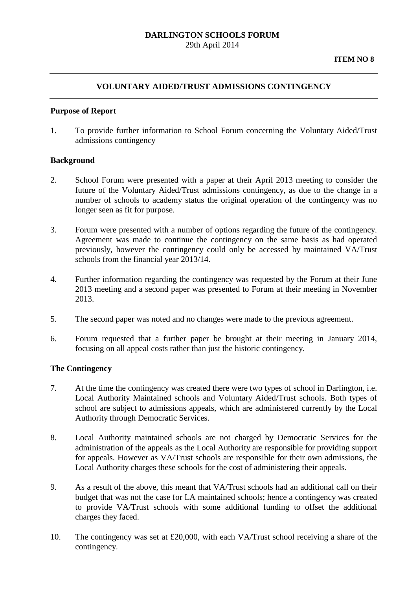### **DARLINGTON SCHOOLS FORUM** 29th April 2014

### **VOLUNTARY AIDED/TRUST ADMISSIONS CONTINGENCY**

#### **Purpose of Report**

1. To provide further information to School Forum concerning the Voluntary Aided/Trust admissions contingency

### **Background**

- 2. School Forum were presented with a paper at their April 2013 meeting to consider the future of the Voluntary Aided/Trust admissions contingency, as due to the change in a number of schools to academy status the original operation of the contingency was no longer seen as fit for purpose.
- 3. Forum were presented with a number of options regarding the future of the contingency. Agreement was made to continue the contingency on the same basis as had operated previously, however the contingency could only be accessed by maintained VA/Trust schools from the financial year 2013/14.
- 4. Further information regarding the contingency was requested by the Forum at their June 2013 meeting and a second paper was presented to Forum at their meeting in November 2013.
- 5. The second paper was noted and no changes were made to the previous agreement.
- 6. Forum requested that a further paper be brought at their meeting in January 2014, focusing on all appeal costs rather than just the historic contingency.

### **The Contingency**

- 7. At the time the contingency was created there were two types of school in Darlington, i.e. Local Authority Maintained schools and Voluntary Aided/Trust schools. Both types of school are subject to admissions appeals, which are administered currently by the Local Authority through Democratic Services.
- 8. Local Authority maintained schools are not charged by Democratic Services for the administration of the appeals as the Local Authority are responsible for providing support for appeals. However as VA/Trust schools are responsible for their own admissions, the Local Authority charges these schools for the cost of administering their appeals.
- 9. As a result of the above, this meant that VA/Trust schools had an additional call on their budget that was not the case for LA maintained schools; hence a contingency was created to provide VA/Trust schools with some additional funding to offset the additional charges they faced.
- 10. The contingency was set at £20,000, with each VA/Trust school receiving a share of the contingency.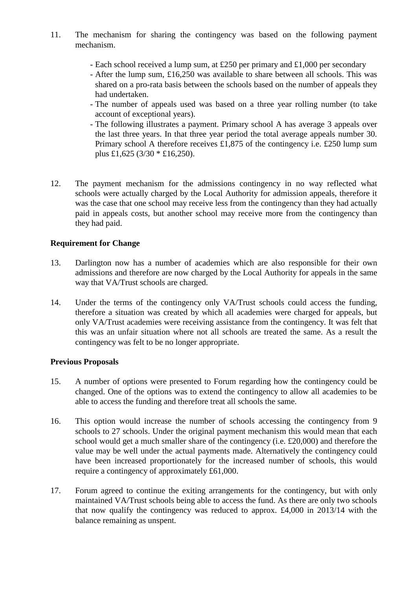- 11. The mechanism for sharing the contingency was based on the following payment mechanism.
	- Each school received a lump sum, at £250 per primary and £1,000 per secondary
	- After the lump sum, £16,250 was available to share between all schools. This was shared on a pro-rata basis between the schools based on the number of appeals they had undertaken.
	- The number of appeals used was based on a three year rolling number (to take account of exceptional years).
	- The following illustrates a payment. Primary school A has average 3 appeals over the last three years. In that three year period the total average appeals number 30. Primary school A therefore receives £1,875 of the contingency i.e. £250 lump sum plus £1,625 (3/30 \* £16,250).
- 12. The payment mechanism for the admissions contingency in no way reflected what schools were actually charged by the Local Authority for admission appeals, therefore it was the case that one school may receive less from the contingency than they had actually paid in appeals costs, but another school may receive more from the contingency than they had paid.

# **Requirement for Change**

- 13. Darlington now has a number of academies which are also responsible for their own admissions and therefore are now charged by the Local Authority for appeals in the same way that VA/Trust schools are charged.
- 14. Under the terms of the contingency only VA/Trust schools could access the funding, therefore a situation was created by which all academies were charged for appeals, but only VA/Trust academies were receiving assistance from the contingency. It was felt that this was an unfair situation where not all schools are treated the same. As a result the contingency was felt to be no longer appropriate.

### **Previous Proposals**

- 15. A number of options were presented to Forum regarding how the contingency could be changed. One of the options was to extend the contingency to allow all academies to be able to access the funding and therefore treat all schools the same.
- 16. This option would increase the number of schools accessing the contingency from 9 schools to 27 schools. Under the original payment mechanism this would mean that each school would get a much smaller share of the contingency (i.e. £20,000) and therefore the value may be well under the actual payments made. Alternatively the contingency could have been increased proportionately for the increased number of schools, this would require a contingency of approximately £61,000.
- 17. Forum agreed to continue the exiting arrangements for the contingency, but with only maintained VA/Trust schools being able to access the fund. As there are only two schools that now qualify the contingency was reduced to approx. £4,000 in 2013/14 with the balance remaining as unspent.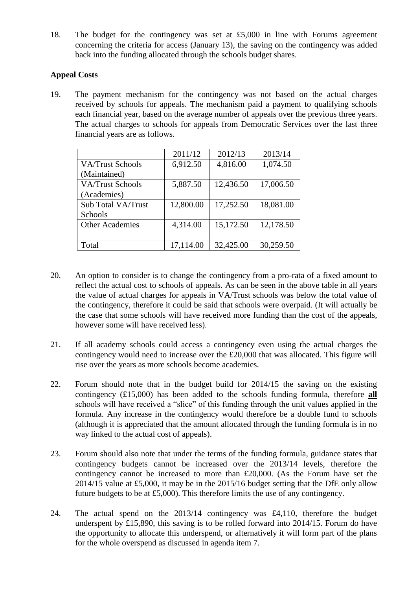18. The budget for the contingency was set at £5,000 in line with Forums agreement concerning the criteria for access (January 13), the saving on the contingency was added back into the funding allocated through the schools budget shares.

# **Appeal Costs**

19. The payment mechanism for the contingency was not based on the actual charges received by schools for appeals. The mechanism paid a payment to qualifying schools each financial year, based on the average number of appeals over the previous three years. The actual charges to schools for appeals from Democratic Services over the last three financial years are as follows.

| 2011/12   | 2012/13   | 2013/14   |
|-----------|-----------|-----------|
| 6,912.50  | 4,816.00  | 1,074.50  |
|           |           |           |
| 5,887.50  | 12,436.50 | 17,006.50 |
|           |           |           |
| 12,800.00 | 17,252.50 | 18,081.00 |
|           |           |           |
| 4,314.00  | 15,172.50 | 12,178.50 |
|           |           |           |
| 17,114.00 | 32,425.00 | 30,259.50 |
|           |           |           |

- 20. An option to consider is to change the contingency from a pro-rata of a fixed amount to reflect the actual cost to schools of appeals. As can be seen in the above table in all years the value of actual charges for appeals in VA/Trust schools was below the total value of the contingency, therefore it could be said that schools were overpaid. (It will actually be the case that some schools will have received more funding than the cost of the appeals, however some will have received less).
- 21. If all academy schools could access a contingency even using the actual charges the contingency would need to increase over the £20,000 that was allocated. This figure will rise over the years as more schools become academies.
- 22. Forum should note that in the budget build for 2014/15 the saving on the existing contingency (£15,000) has been added to the schools funding formula, therefore **all** schools will have received a "slice" of this funding through the unit values applied in the formula. Any increase in the contingency would therefore be a double fund to schools (although it is appreciated that the amount allocated through the funding formula is in no way linked to the actual cost of appeals).
- 23. Forum should also note that under the terms of the funding formula, guidance states that contingency budgets cannot be increased over the 2013/14 levels, therefore the contingency cannot be increased to more than £20,000. (As the Forum have set the 2014/15 value at £5,000, it may be in the 2015/16 budget setting that the DfE only allow future budgets to be at £5,000). This therefore limits the use of any contingency.
- 24. The actual spend on the 2013/14 contingency was £4,110, therefore the budget underspent by £15,890, this saving is to be rolled forward into 2014/15. Forum do have the opportunity to allocate this underspend, or alternatively it will form part of the plans for the whole overspend as discussed in agenda item 7.